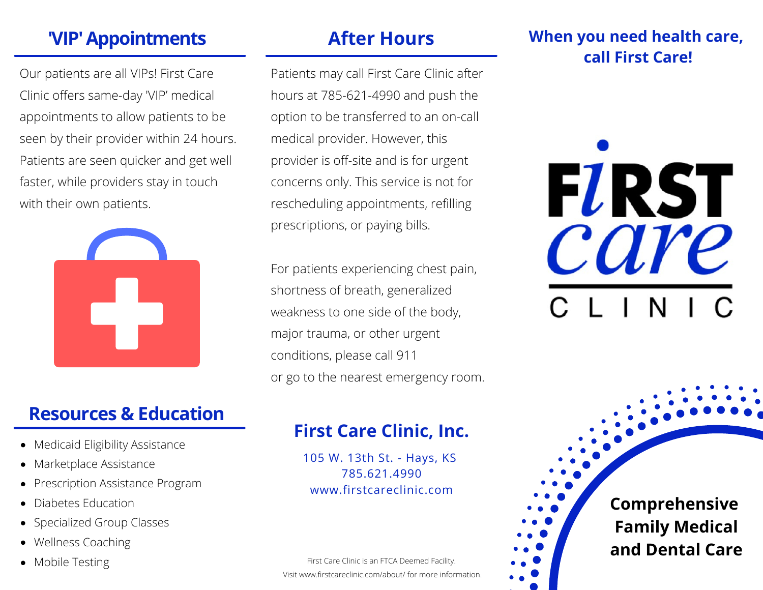# **'VIP'Appointments After Hours**

Our patients are all VIPs! First Care Clinic offers same-day 'VIP' medical appointments to allow patients to be seen by their provider within 24 hours. Patients are seen quicker and get well faster, while providers stay in touch with their own patients.



### **Resources & Education**

- Medicaid Eligibility Assistance
- Marketplace Assistance
- Prescription Assistance Program
- Diabetes Education
- Specialized Group Classes
- Wellness Coaching
- 

Patients may call First Care Clinic after hours at 785-621-4990 and push the option to be transferred to an on-call medical provider. However, this provider is off-site and is for urgent concerns only. This service is not for rescheduling appointments, refilling prescriptions, or paying bills.

For patients experiencing chest pain, shortness of breath, generalized weakness to one side of the body, major trauma, or other urgent conditions, please call 911 or go to the nearest emergency room.

#### **When you need health care, call First Care!**



## **First Care Clinic, Inc.**

105 W. 13th St. - Hays, KS 785.621.4990 www.firstcareclinic.com

• Mobile Testing **First Care Clinic is an FTCA Deemed Facility**. Visit www.firstcareclinic.com/about/ for more information.

**Comprehensive Family Medical and Dental Care**